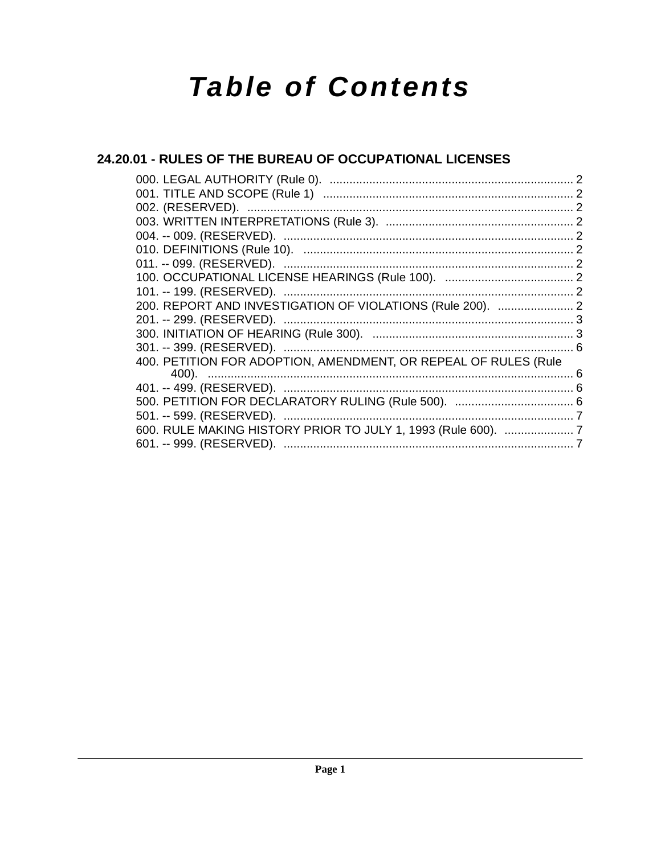# **Table of Contents**

## 24.20.01 - RULES OF THE BUREAU OF OCCUPATIONAL LICENSES

| 200. REPORT AND INVESTIGATION OF VIOLATIONS (Rule 200).  2      |  |
|-----------------------------------------------------------------|--|
|                                                                 |  |
|                                                                 |  |
|                                                                 |  |
| 400. PETITION FOR ADOPTION, AMENDMENT, OR REPEAL OF RULES (Rule |  |
|                                                                 |  |
|                                                                 |  |
|                                                                 |  |
|                                                                 |  |
| 600. RULE MAKING HISTORY PRIOR TO JULY 1, 1993 (Rule 600).  7   |  |
|                                                                 |  |
|                                                                 |  |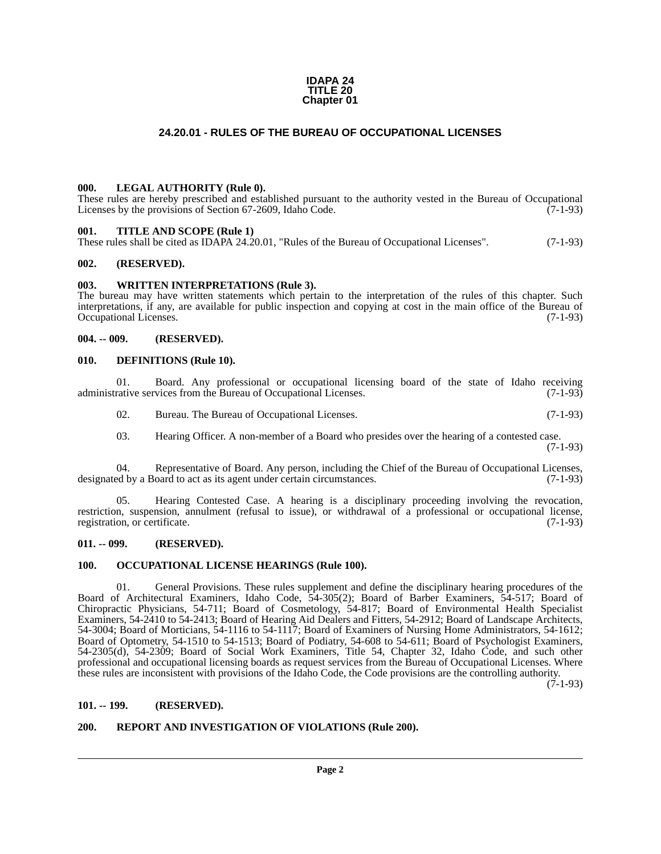#### **IDAPA 24 TITLE 20 Chapter 01**

### **24.20.01 - RULES OF THE BUREAU OF OCCUPATIONAL LICENSES**

#### <span id="page-1-1"></span><span id="page-1-0"></span>**000. LEGAL AUTHORITY (Rule 0).**

These rules are hereby prescribed and established pursuant to the authority vested in the Bureau of Occupational Licenses by the provisions of Section 67-2609, Idaho Code. (7-1-93)

#### <span id="page-1-2"></span>**001. TITLE AND SCOPE (Rule 1)**

These rules shall be cited as IDAPA 24.20.01, "Rules of the Bureau of Occupational Licenses". (7-1-93)

#### <span id="page-1-3"></span>**002. (RESERVED).**

#### <span id="page-1-4"></span>**003. WRITTEN INTERPRETATIONS (Rule 3).**

The bureau may have written statements which pertain to the interpretation of the rules of this chapter. Such interpretations, if any, are available for public inspection and copying at cost in the main office of the Bureau of Occupational Licenses. (7-1-93)

#### <span id="page-1-5"></span>**004. -- 009. (RESERVED).**

#### <span id="page-1-6"></span>**010. DEFINITIONS (Rule 10).**

|                                                                   |  |  | Board. Any professional or occupational licensing board of the state of Idaho receiving |  |  |  |            |
|-------------------------------------------------------------------|--|--|-----------------------------------------------------------------------------------------|--|--|--|------------|
| administrative services from the Bureau of Occupational Licenses. |  |  |                                                                                         |  |  |  | $(7-1-93)$ |

02. Bureau. The Bureau of Occupational Licenses. (7-1-93)

03. Hearing Officer. A non-member of a Board who presides over the hearing of a contested case.

(7-1-93)

04. Representative of Board. Any person, including the Chief of the Bureau of Occupational Licenses,<br>ed by a Board to act as its agent under certain circumstances. (7-1-93) designated by a Board to act as its agent under certain circumstances.

05. Hearing Contested Case. A hearing is a disciplinary proceeding involving the revocation, restriction, suspension, annulment (refusal to issue), or withdrawal of a professional or occupational license, registration, or certificate. (7-1-93) registration, or certificate.

#### <span id="page-1-7"></span>**011. -- 099. (RESERVED).**

#### <span id="page-1-8"></span>**100. OCCUPATIONAL LICENSE HEARINGS (Rule 100).**

General Provisions. These rules supplement and define the disciplinary hearing procedures of the Board of Architectural Examiners, Idaho Code, 54-305(2); Board of Barber Examiners, 54-517; Board of Chiropractic Physicians, 54-711; Board of Cosmetology, 54-817; Board of Environmental Health Specialist Examiners, 54-2410 to 54-2413; Board of Hearing Aid Dealers and Fitters, 54-2912; Board of Landscape Architects, 54-3004; Board of Morticians, 54-1116 to 54-1117; Board of Examiners of Nursing Home Administrators, 54-1612; Board of Optometry, 54-1510 to 54-1513; Board of Podiatry, 54-608 to 54-611; Board of Psychologist Examiners, 54-2305(d), 54-2309; Board of Social Work Examiners, Title 54, Chapter 32, Idaho Code, and such other professional and occupational licensing boards as request services from the Bureau of Occupational Licenses. Where these rules are inconsistent with provisions of the Idaho Code, the Code provisions are the controlling authority.

 $(7-1-93)$ 

#### <span id="page-1-9"></span>**101. -- 199. (RESERVED).**

#### <span id="page-1-10"></span>**200. REPORT AND INVESTIGATION OF VIOLATIONS (Rule 200).**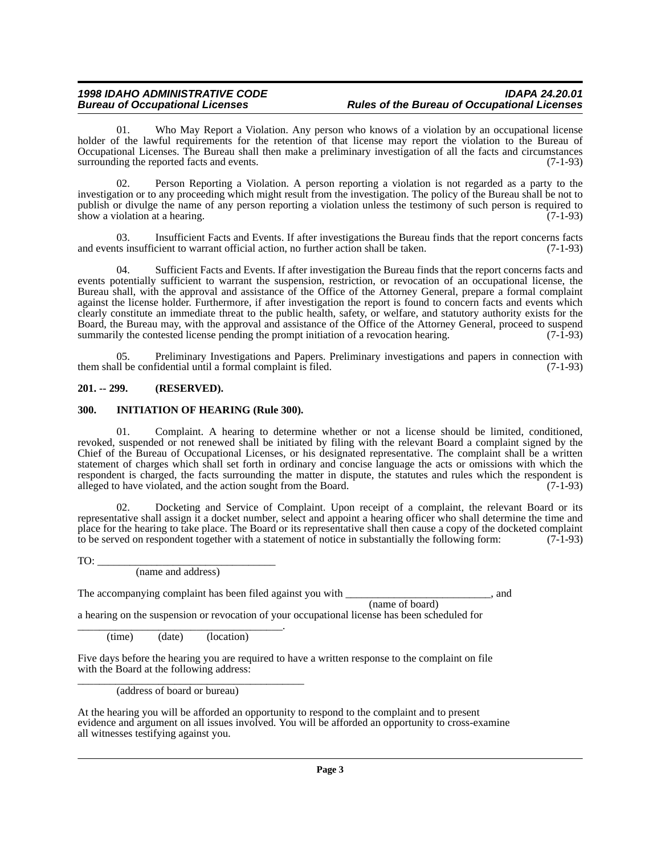### *1998 IDAHO ADMINISTRATIVE CODE IDAPA 24.20.01 Bureau of Occupational Licenses Rules of the Bureau of Occupational Licenses*

01. Who May Report a Violation. Any person who knows of a violation by an occupational license holder of the lawful requirements for the retention of that license may report the violation to the Bureau of Occupational Licenses. The Bureau shall then make a preliminary investigation of all the facts and circumstances surrounding the reported facts and events. (7-1-93)

02. Person Reporting a Violation. A person reporting a violation is not regarded as a party to the investigation or to any proceeding which might result from the investigation. The policy of the Bureau shall be not to publish or divulge the name of any person reporting a violation unless the testimony of such person is required to show a violation at a hearing. (7-1-93)

03. Insufficient Facts and Events. If after investigations the Bureau finds that the report concerns facts ts insufficient to warrant official action, no further action shall be taken. (7-1-93) and events insufficient to warrant official action, no further action shall be taken.

Sufficient Facts and Events. If after investigation the Bureau finds that the report concerns facts and events potentially sufficient to warrant the suspension, restriction, or revocation of an occupational license, the Bureau shall, with the approval and assistance of the Office of the Attorney General, prepare a formal complaint against the license holder. Furthermore, if after investigation the report is found to concern facts and events which clearly constitute an immediate threat to the public health, safety, or welfare, and statutory authority exists for the Board, the Bureau may, with the approval and assistance of the Office of the Attorney General, proceed to suspend<br>summarily the contested license pending the prompt initiation of a revocation hearing. (7-1-93) summarily the contested license pending the prompt initiation of a revocation hearing.

05. Preliminary Investigations and Papers. Preliminary investigations and papers in connection with 1 be confidential until a formal complaint is filed. (7-1-93) them shall be confidential until a formal complaint is filed.

#### <span id="page-2-0"></span>**201. -- 299. (RESERVED).**

#### <span id="page-2-1"></span>**300. INITIATION OF HEARING (Rule 300).**

01. Complaint. A hearing to determine whether or not a license should be limited, conditioned, revoked, suspended or not renewed shall be initiated by filing with the relevant Board a complaint signed by the Chief of the Bureau of Occupational Licenses, or his designated representative. The complaint shall be a written statement of charges which shall set forth in ordinary and concise language the acts or omissions with which the respondent is charged, the facts surrounding the matter in dispute, the statutes and rules which the respondent is alleged to have violated, and the action sought from the Board. (7-1-93)

02. Docketing and Service of Complaint. Upon receipt of a complaint, the relevant Board or its representative shall assign it a docket number, select and appoint a hearing officer who shall determine the time and place for the hearing to take place. The Board or its representative shall then cause a copy of the docketed complaint to be served on respondent together with a statement of notice in substantially the following form: (7-1-93)

 $TO:$ 

(name and address)

The accompanying complaint has been filed against you with \_\_\_\_\_\_\_\_\_\_\_\_\_\_\_\_\_\_\_\_\_\_\_\_, and

(name of board)

a hearing on the suspension or revocation of your occupational license has been scheduled for \_\_\_\_\_\_\_\_\_\_\_\_\_\_\_\_\_\_\_\_\_\_\_\_\_\_\_\_\_\_\_\_\_\_\_\_\_\_.

(time) (date) (location)

Five days before the hearing you are required to have a written response to the complaint on file with the Board at the following address:

\_\_\_\_\_\_\_\_\_\_\_\_\_\_\_\_\_\_\_\_\_\_\_\_\_\_\_\_\_\_\_\_\_\_\_\_\_\_\_\_\_\_ (address of board or bureau)

At the hearing you will be afforded an opportunity to respond to the complaint and to present evidence and argument on all issues involved. You will be afforded an opportunity to cross-examine all witnesses testifying against you.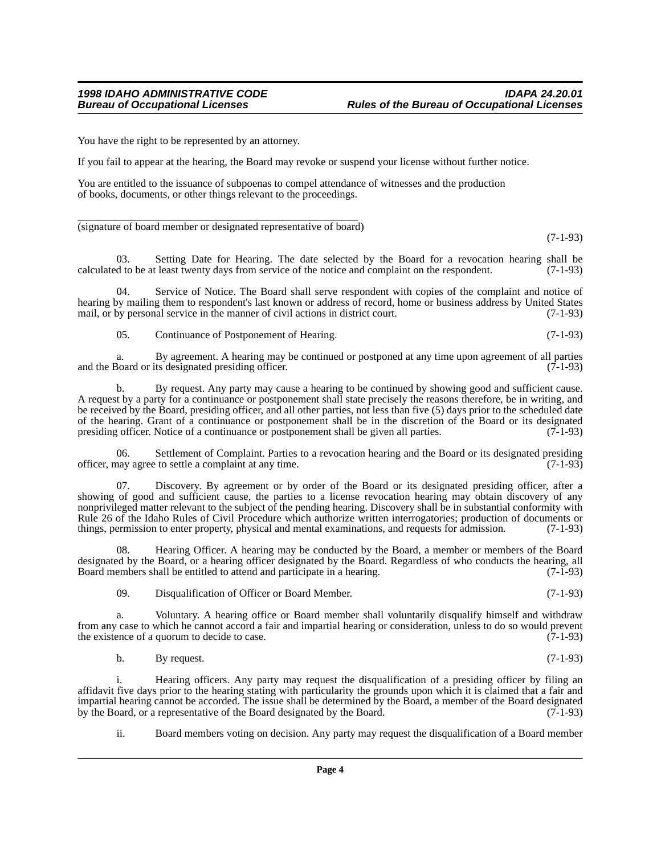You have the right to be represented by an attorney.

If you fail to appear at the hearing, the Board may revoke or suspend your license without further notice.

You are entitled to the issuance of subpoenas to compel attendance of witnesses and the production of books, documents, or other things relevant to the proceedings.

\_\_\_\_\_\_\_\_\_\_\_\_\_\_\_\_\_\_\_\_\_\_\_\_\_\_\_\_\_\_\_\_\_\_\_\_\_\_\_\_\_\_\_\_\_\_\_\_\_\_\_\_ (signature of board member or designated representative of board)

(7-1-93)

03. Setting Date for Hearing. The date selected by the Board for a revocation hearing shall be d to be at least twenty days from service of the notice and complaint on the respondent.  $(7-1-93)$ calculated to be at least twenty days from service of the notice and complaint on the respondent.

04. Service of Notice. The Board shall serve respondent with copies of the complaint and notice of hearing by mailing them to respondent's last known or address of record, home or business address by United States mail, or by personal service in the manner of civil actions in district court. (7-1-93) mail, or by personal service in the manner of civil actions in district court.

05. Continuance of Postponement of Hearing. (7-1-93)

a. By agreement. A hearing may be continued or postponed at any time upon agreement of all parties<br>Board or its designated presiding officer. (7-1-93) and the Board or its designated presiding officer.

b. By request. Any party may cause a hearing to be continued by showing good and sufficient cause. A request by a party for a continuance or postponement shall state precisely the reasons therefore, be in writing, and be received by the Board, presiding officer, and all other parties, not less than five (5) days prior to the scheduled date of the hearing. Grant of a continuance or postponement shall be in the discretion of the Board or its designated presiding officer. Notice of a continuance or postponement shall be given all parties. (7-1-93) presiding officer. Notice of a continuance or postponement shall be given all parties.

06. Settlement of Complaint. Parties to a revocation hearing and the Board or its designated presiding hay agree to settle a complaint at any time. officer, may agree to settle a complaint at any time.

07. Discovery. By agreement or by order of the Board or its designated presiding officer, after a showing of good and sufficient cause, the parties to a license revocation hearing may obtain discovery of any nonprivileged matter relevant to the subject of the pending hearing. Discovery shall be in substantial conformity with Rule 26 of the Idaho Rules of Civil Procedure which authorize written interrogatories; production of documents or things, permission to enter property, physical and mental examinations, and requests for admission. (7-1-93) things, permission to enter property, physical and mental examinations, and requests for admission.

08. Hearing Officer. A hearing may be conducted by the Board, a member or members of the Board designated by the Board, or a hearing officer designated by the Board. Regardless of who conducts the hearing, all Board members shall be entitled to attend and participate in a hearing. (7-1-93) Board members shall be entitled to attend and participate in a hearing.

09. Disqualification of Officer or Board Member. (7-1-93)

a. Voluntary. A hearing office or Board member shall voluntarily disqualify himself and withdraw from any case to which he cannot accord a fair and impartial hearing or consideration, unless to do so would prevent the existence of a quorum to decide to case. (7-1-93)

b. By request.  $(7-1-93)$ 

Hearing officers. Any party may request the disqualification of a presiding officer by filing an affidavit five days prior to the hearing stating with particularity the grounds upon which it is claimed that a fair and impartial hearing cannot be accorded. The issue shall be determined by the Board, a member of the Board designated by the Board, or a representative of the Board designated by the Board.

ii. Board members voting on decision. Any party may request the disqualification of a Board member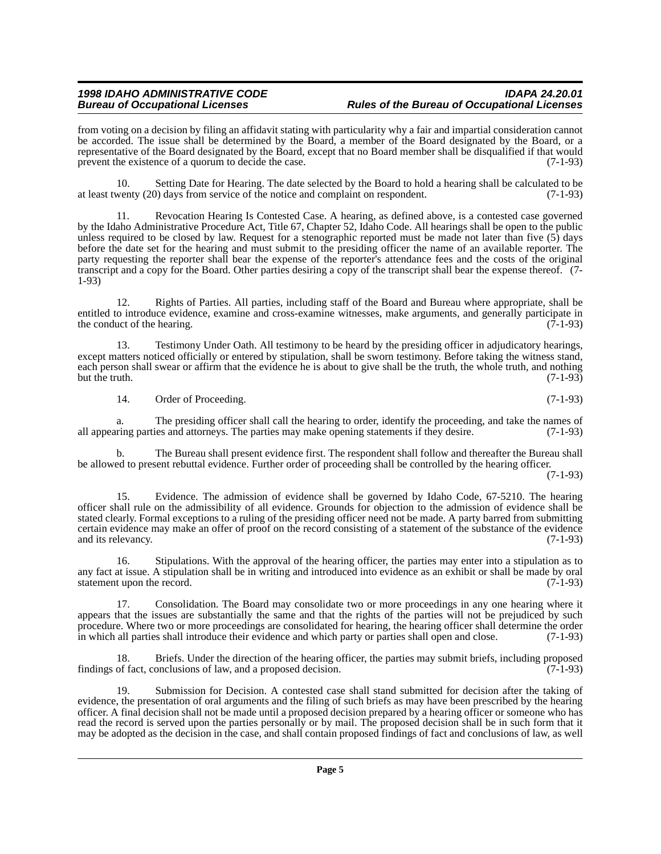#### *1998 IDAHO ADMINISTRATIVE CODE IDAPA 24.20.01 Bureau of Occupational Licenses Rules of the Bureau of Occupational Licenses*

from voting on a decision by filing an affidavit stating with particularity why a fair and impartial consideration cannot be accorded. The issue shall be determined by the Board, a member of the Board designated by the Board, or a representative of the Board designated by the Board, except that no Board member shall be disqualified if that would prevent the existence of a quorum to decide the case. (7-1-93)

10. Setting Date for Hearing. The date selected by the Board to hold a hearing shall be calculated to be wenty (20) days from service of the notice and complaint on respondent. (7-1-93) at least twenty (20) days from service of the notice and complaint on respondent.

11. Revocation Hearing Is Contested Case. A hearing, as defined above, is a contested case governed by the Idaho Administrative Procedure Act, Title 67, Chapter 52, Idaho Code. All hearings shall be open to the public unless required to be closed by law. Request for a stenographic reported must be made not later than five (5) days before the date set for the hearing and must submit to the presiding officer the name of an available reporter. The party requesting the reporter shall bear the expense of the reporter's attendance fees and the costs of the original transcript and a copy for the Board. Other parties desiring a copy of the transcript shall bear the expense thereof. (7- 1-93)

12. Rights of Parties. All parties, including staff of the Board and Bureau where appropriate, shall be entitled to introduce evidence, examine and cross-examine witnesses, make arguments, and generally participate in the conduct of the hearing.  $(7-1-93)$ 

13. Testimony Under Oath. All testimony to be heard by the presiding officer in adjudicatory hearings, except matters noticed officially or entered by stipulation, shall be sworn testimony. Before taking the witness stand, each person shall swear or affirm that the evidence he is about to give shall be the truth, the whole truth, and nothing but the truth. (7-1-93) but the truth.  $(7-1-93)$ 

14. Order of Proceeding. (7-1-93)

a. The presiding officer shall call the hearing to order, identify the proceeding, and take the names of ring parties and attorneys. The parties may make opening statements if they desire. (7-1-93) all appearing parties and attorneys. The parties may make opening statements if they desire.

b. The Bureau shall present evidence first. The respondent shall follow and thereafter the Bureau shall be allowed to present rebuttal evidence. Further order of proceeding shall be controlled by the hearing officer.

(7-1-93)

15. Evidence. The admission of evidence shall be governed by Idaho Code, 67-5210. The hearing officer shall rule on the admissibility of all evidence. Grounds for objection to the admission of evidence shall be stated clearly. Formal exceptions to a ruling of the presiding officer need not be made. A party barred from submitting certain evidence may make an offer of proof on the record consisting of a statement of the substance of the evidence and its relevancy. (7-1-93)

16. Stipulations. With the approval of the hearing officer, the parties may enter into a stipulation as to any fact at issue. A stipulation shall be in writing and introduced into evidence as an exhibit or shall be made by oral statement upon the record. (7-1-93)

17. Consolidation. The Board may consolidate two or more proceedings in any one hearing where it appears that the issues are substantially the same and that the rights of the parties will not be prejudiced by such procedure. Where two or more proceedings are consolidated for hearing, the hearing officer shall determine the order in which all parties shall introduce their evidence and which party or parties shall open and close. (7-1-93)

18. Briefs. Under the direction of the hearing officer, the parties may submit briefs, including proposed of fact, conclusions of law, and a proposed decision. (7-1-93) findings of fact, conclusions of law, and a proposed decision.

19. Submission for Decision. A contested case shall stand submitted for decision after the taking of evidence, the presentation of oral arguments and the filing of such briefs as may have been prescribed by the hearing officer. A final decision shall not be made until a proposed decision prepared by a hearing officer or someone who has read the record is served upon the parties personally or by mail. The proposed decision shall be in such form that it may be adopted as the decision in the case, and shall contain proposed findings of fact and conclusions of law, as well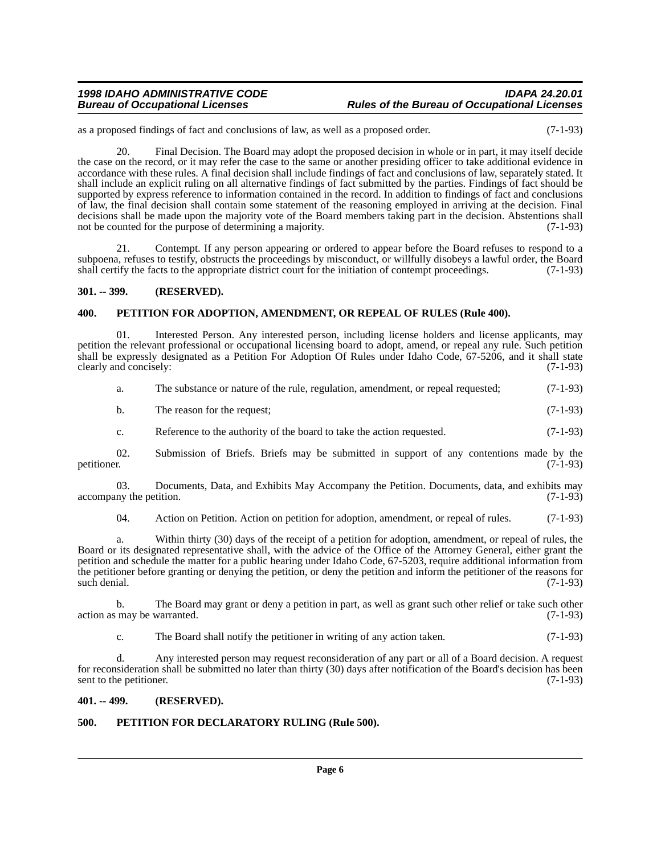#### *1998 IDAHO ADMINISTRATIVE CODE IDAPA 24.20.01 Bureau of Occupational Licenses Rules of the Bureau of Occupational Licenses*

as a proposed findings of fact and conclusions of law, as well as a proposed order. (7-1-93)

20. Final Decision. The Board may adopt the proposed decision in whole or in part, it may itself decide the case on the record, or it may refer the case to the same or another presiding officer to take additional evidence in accordance with these rules. A final decision shall include findings of fact and conclusions of law, separately stated. It shall include an explicit ruling on all alternative findings of fact submitted by the parties. Findings of fact should be supported by express reference to information contained in the record. In addition to findings of fact and conclusions of law, the final decision shall contain some statement of the reasoning employed in arriving at the decision. Final decisions shall be made upon the majority vote of the Board members taking part in the decision. Abstentions shall not be counted for the purpose of determining a majority. (7-1-93)

21. Contempt. If any person appearing or ordered to appear before the Board refuses to respond to a subpoena, refuses to testify, obstructs the proceedings by misconduct, or willfully disobeys a lawful order, the Board shall certify the facts to the appropriate district court for the initiation of contempt proceedings. ( shall certify the facts to the appropriate district court for the initiation of contempt proceedings.

#### <span id="page-5-0"></span>**301. -- 399. (RESERVED).**

#### <span id="page-5-1"></span>**400. PETITION FOR ADOPTION, AMENDMENT, OR REPEAL OF RULES (Rule 400).**

01. Interested Person. Any interested person, including license holders and license applicants, may petition the relevant professional or occupational licensing board to adopt, amend, or repeal any rule. Such petition shall be expressly designated as a Petition For Adoption Of Rules under Idaho Code, 67-5206, and it shall state clearly and concisely:

|  | The substance or nature of the rule, regulation, amendment, or repeal requested; | $(7-1-93)$ |
|--|----------------------------------------------------------------------------------|------------|
|--|----------------------------------------------------------------------------------|------------|

|  | The reason for the request; | $(7-1-93)$ |
|--|-----------------------------|------------|
|--|-----------------------------|------------|

c. Reference to the authority of the board to take the action requested. (7-1-93)

02. Submission of Briefs. Briefs may be submitted in support of any contentions made by the petitioner. (7-1-93) petitioner. (7-1-93)

03. Documents, Data, and Exhibits May Accompany the Petition. Documents, data, and exhibits may ny the petition. accompany the petition.

04. Action on Petition. Action on petition for adoption, amendment, or repeal of rules. (7-1-93)

a. Within thirty (30) days of the receipt of a petition for adoption, amendment, or repeal of rules, the Board or its designated representative shall, with the advice of the Office of the Attorney General, either grant the petition and schedule the matter for a public hearing under Idaho Code, 67-5203, require additional information from the petitioner before granting or denying the petition, or deny the petition and inform the petitioner of the reasons for such denial. (7-1-93)

b. The Board may grant or deny a petition in part, as well as grant such other relief or take such other may be warranted. (7-1-93) action as may be warranted.

c. The Board shall notify the petitioner in writing of any action taken. (7-1-93)

d. Any interested person may request reconsideration of any part or all of a Board decision. A request for reconsideration shall be submitted no later than thirty (30) days after notification of the Board's decision has been sent to the petitioner. (7-1-93)

#### <span id="page-5-2"></span>**401. -- 499. (RESERVED).**

### <span id="page-5-3"></span>**500. PETITION FOR DECLARATORY RULING (Rule 500).**